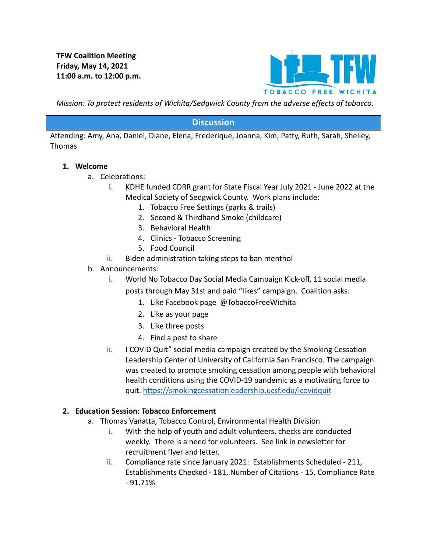**TFW Coalition Meeting Friday, May 14, 2021 11:00 a.m. to 12:00 p.m.**



*Mission: To protect residents of Wichita/Sedgwick County from the adverse effects of tobacco.*

### **Discussion**

Attending: Amy, Ana, Daniel, Diane, Elena, Frederique, Joanna, Kim, Patty, Ruth, Sarah, Shelley, Thomas

#### **1. Welcome**

- a. Celebrations:
	- i. KDHE funded CDRR grant for State Fiscal Year July 2021 June 2022 at the Medical Society of Sedgwick County. Work plans include:
		- 1. Tobacco Free Settings (parks & trails)
		- 2. Second & Thirdhand Smoke (childcare)
		- 3. Behavioral Health
		- 4. Clinics Tobacco Screening
		- 5. Food Council
	- ii. Biden administration taking steps to ban menthol
- b. Announcements:
	- i. World No Tobacco Day Social Media Campaign Kick-off, 11 social media posts through May 31st and paid "likes" campaign. Coalition asks:
		- 1. Like Facebook page @TobaccoFreeWichita
		- 2. Like as your page
		- 3. Like three posts
		- 4. Find a post to share
	- ii. I COVID Quit" social media campaign created by the Smoking Cessation Leadership Center of University of California San Francisco. The campaign was created to promote smoking cessation among people with behavioral health conditions using the COVID-19 pandemic as a motivating force to quit. <https://smokingcessationleadership.ucsf.edu/icovidquit>

#### **2. Education Session: Tobacco Enforcement**

- a. Thomas Vanatta, Tobacco Control, Environmental Health Division
	- i. With the help of youth and adult volunteers, checks are conducted weekly. There is a need for volunteers. See link in newsletter for recruitment flyer and letter.
	- ii. Compliance rate since January 2021: Establishments Scheduled 211, Establishments Checked - 181, Number of Citations - 15, Compliance Rate - 91.71%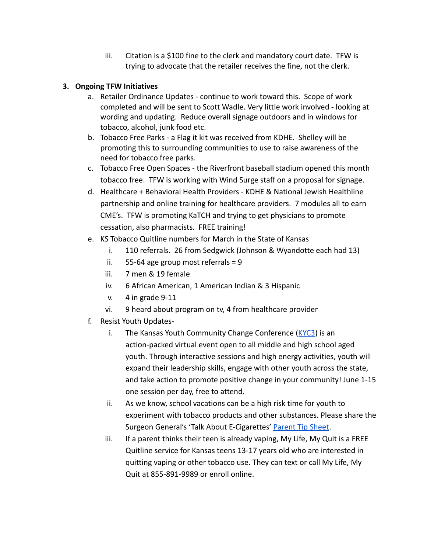iii. Citation is a \$100 fine to the clerk and mandatory court date. TFW is trying to advocate that the retailer receives the fine, not the clerk.

## **3. Ongoing TFW Initiatives**

- a. Retailer Ordinance Updates continue to work toward this. Scope of work completed and will be sent to Scott Wadle. Very little work involved - looking at wording and updating. Reduce overall signage outdoors and in windows for tobacco, alcohol, junk food etc.
- b. Tobacco Free Parks a Flag it kit was received from KDHE. Shelley will be promoting this to surrounding communities to use to raise awareness of the need for tobacco free parks.
- c. Tobacco Free Open Spaces the Riverfront baseball stadium opened this month tobacco free. TFW is working with Wind Surge staff on a proposal for signage.
- d. Healthcare + Behavioral Health Providers KDHE & National Jewish Healthline partnership and online training for healthcare providers. 7 modules all to earn CME's. TFW is promoting KaTCH and trying to get physicians to promote cessation, also pharmacists. FREE training!
- e. KS Tobacco Quitline numbers for March in the State of Kansas
	- i. 110 referrals. 26 from Sedgwick (Johnson & Wyandotte each had 13)
	- ii.  $55-64$  age group most referrals = 9
	- iii. 7 men & 19 female
	- iv. 6 African American, 1 American Indian & 3 Hispanic
	- v. 4 in grade 9-11
	- vi. 9 heard about program on tv, 4 from healthcare provider
- f. Resist Youth Updates
	- i. The Kansas Youth Community Change Conference  $(KYC3)$  $(KYC3)$  is an action-packed virtual event open to all middle and high school aged youth. Through interactive sessions and high energy activities, youth will expand their leadership skills, engage with other youth across the state, and take action to promote positive change in your community! June 1-15 one session per day, free to attend.
	- ii. As we know, school vacations can be a high risk time for youth to experiment with tobacco products and other substances. Please share the Surgeon General's 'Talk About E-Cigarettes' Parent [Tip Sheet](https://e-cigarettes.surgeongeneral.gov/documents/SGR_ECig_ParentTipSheet_508.pdf).
	- iii. If a parent thinks their teen is already vaping, My Life, My Quit is a FREE Quitline service for Kansas teens 13-17 years old who are interested in quitting vaping or other tobacco use. They can text or call My Life, My Quit at 855-891-9989 or enroll online.